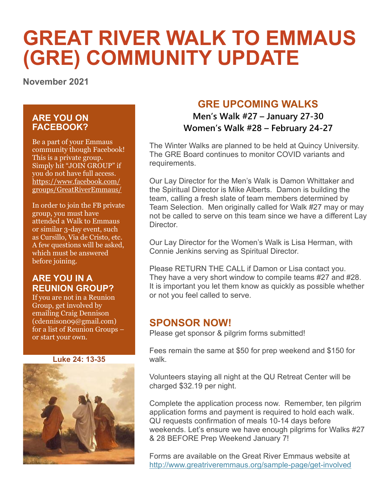# **GREAT RIVER WALK TO EMMAUS (GRE) COMMUNITY UPDATE**

**November 2021**

#### **ARE YOU ON FACEBOOK?**

Be a part of your Emmaus community though Facebook! This is a private group. Simply hit "JOIN GROUP" if you do not have full access. https://www.facebook.com/ groups/GreatRiverEmmaus/

In order to join the FB private group, you must have attended a Walk to Emmaus or similar 3-day event, such as Cursillo, Via de Cristo, etc. A few questions will be asked, which must be answered before joining.

#### **ARE YOU IN A REUNION GROUP?**

If you are not in a Reunion Group, get involved by emailing Craig Dennison (cdennison09@gmail.com) for a list of Reunion Groups – or start your own.

**Luke 24: 13-35**



## **GRE UPCOMING WALKS**

**Men's Walk #27 – January 27-30 Women's Walk #28 – February 24-27**

The Winter Walks are planned to be held at Quincy University. The GRE Board continues to monitor COVID variants and requirements.

Our Lay Director for the Men's Walk is Damon Whittaker and the Spiritual Director is Mike Alberts. Damon is building the team, calling a fresh slate of team members determined by Team Selection. Men originally called for Walk #27 may or may not be called to serve on this team since we have a different Lay Director.

Our Lay Director for the Women's Walk is Lisa Herman, with Connie Jenkins serving as Spiritual Director.

Please RETURN THE CALL if Damon or Lisa contact you. They have a very short window to compile teams #27 and #28. It is important you let them know as quickly as possible whether or not you feel called to serve.

#### **SPONSOR NOW!**

Please get sponsor & pilgrim forms submitted!

Fees remain the same at \$50 for prep weekend and \$150 for walk.

Volunteers staying all night at the QU Retreat Center will be charged \$32.19 per night.

Complete the application process now. Remember, ten pilgrim application forms and payment is required to hold each walk. QU requests confirmation of meals 10-14 days before weekends. Let's ensure we have enough pilgrims for Walks #27 & 28 BEFORE Prep Weekend January 7!

Forms are available on the Great River Emmaus website at <http://www.greatriveremmaus.org/sample-page/get-involved>